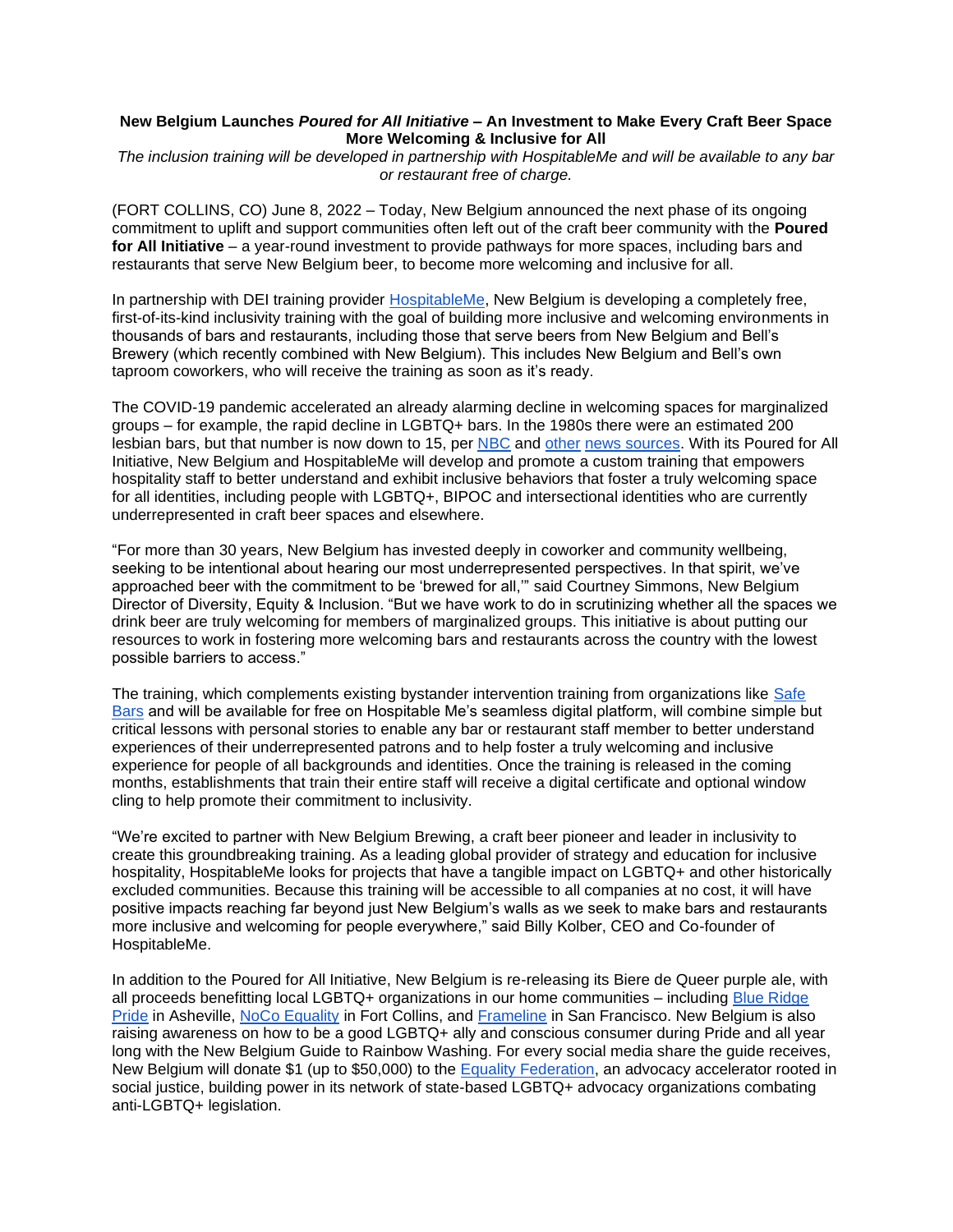## **New Belgium Launches** *Poured for All Initiative* **– An Investment to Make Every Craft Beer Space More Welcoming & Inclusive for All**

*The inclusion training will be developed in partnership with HospitableMe and will be available to any bar or restaurant free of charge.*

(FORT COLLINS, CO) June 8, 2022 – Today, New Belgium announced the next phase of its ongoing commitment to uplift and support communities often left out of the craft beer community with the **Poured for All Initiative** – a year-round investment to provide pathways for more spaces, including bars and restaurants that serve New Belgium beer, to become more welcoming and inclusive for all.

In partnership with DEI training provider [HospitableMe,](http://hospitable.me/) New Belgium is developing a completely free, first-of-its-kind inclusivity training with the goal of building more inclusive and welcoming environments in thousands of bars and restaurants, including those that serve beers from New Belgium and Bell's Brewery (which recently combined with New Belgium). This includes New Belgium and Bell's own taproom coworkers, who will receive the training as soon as it's ready.

The COVID-19 pandemic accelerated an already alarming decline in welcoming spaces for marginalized groups – for example, the rapid decline in LGBTQ+ bars. In the 1980s there were an estimated 200 lesbian bars, but that number is now down to 15, per [NBC](https://www.nbcnews.com/feature/nbc-out/year-pandemic-america-s-remaining-lesbian-bars-are-barely-hanging-n1262936) and [other](https://www.smithsonianmag.com/travel/rise-and-fall-americas-lesbian-bars-) [news sources.](https://www.out.com/lesbian/2020/10/29/last-15-lesbian-bars-america-need-your-help-stay-afloat) With its Poured for All Initiative, New Belgium and HospitableMe will develop and promote a custom training that empowers hospitality staff to better understand and exhibit inclusive behaviors that foster a truly welcoming space for all identities, including people with LGBTQ+, BIPOC and intersectional identities who are currently underrepresented in craft beer spaces and elsewhere.

"For more than 30 years, New Belgium has invested deeply in coworker and community wellbeing, seeking to be intentional about hearing our most underrepresented perspectives. In that spirit, we've approached beer with the commitment to be 'brewed for all,'" said Courtney Simmons, New Belgium Director of Diversity, Equity & Inclusion. "But we have work to do in scrutinizing whether all the spaces we drink beer are truly welcoming for members of marginalized groups. This initiative is about putting our resources to work in fostering more welcoming bars and restaurants across the country with the lowest possible barriers to access."

The training, which complements existing bystander intervention training from organizations like [Safe](https://safebars.org/for-bar-owners-managers/)  [Bars](https://safebars.org/for-bar-owners-managers/) and will be available for free on Hospitable Me's seamless digital platform, will combine simple but critical lessons with personal stories to enable any bar or restaurant staff member to better understand experiences of their underrepresented patrons and to help foster a truly welcoming and inclusive experience for people of all backgrounds and identities. Once the training is released in the coming months, establishments that train their entire staff will receive a digital certificate and optional window cling to help promote their commitment to inclusivity.

"We're excited to partner with New Belgium Brewing, a craft beer pioneer and leader in inclusivity to create this groundbreaking training. As a leading global provider of strategy and education for inclusive hospitality, HospitableMe looks for projects that have a tangible impact on LGBTQ+ and other historically excluded communities. Because this training will be accessible to all companies at no cost, it will have positive impacts reaching far beyond just New Belgium's walls as we seek to make bars and restaurants more inclusive and welcoming for people everywhere," said Billy Kolber, CEO and Co-founder of HospitableMe.

In addition to the Poured for All Initiative, New Belgium is re-releasing its Biere de Queer purple ale, with all proceeds benefitting local LGBTQ+ organizations in our home communities – including [Blue Ridge](https://blueridgepride.org/)  [Pride](https://blueridgepride.org/) in Asheville, [NoCo Equality](https://www.nocoequality.org/) in Fort Collins, and [Frameline](https://www.frameline.org/) in San Francisco. New Belgium is also raising awareness on how to be a good LGBTQ+ ally and conscious consumer during Pride and all year long with the New Belgium Guide to Rainbow Washing. For every social media share the guide receives, New Belgium will donate \$1 (up to \$50,000) to the **Equality Federation**, an advocacy accelerator rooted in social justice, building power in its network of state-based LGBTQ+ advocacy organizations combating anti-LGBTQ+ legislation.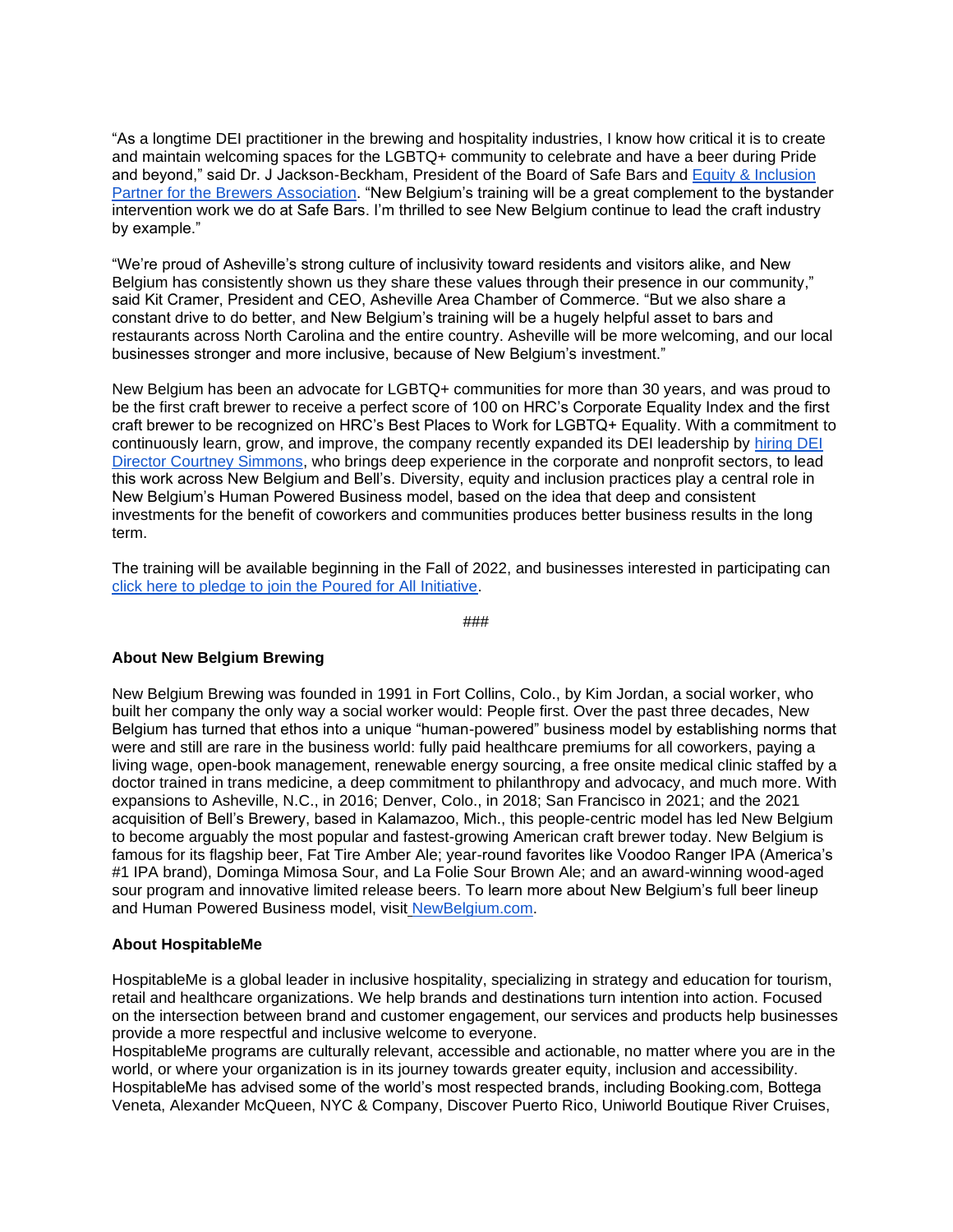"As a longtime DEI practitioner in the brewing and hospitality industries, I know how critical it is to create and maintain welcoming spaces for the LGBTQ+ community to celebrate and have a beer during Pride and beyond," said Dr. J Jackson-Beckham, President of the Board of Safe Bars and [Equity & Inclusion](https://www.brewersassociation.org/author/j-nikol-jackson-beckham/)  [Partner for the Brewers Association.](https://www.brewersassociation.org/author/j-nikol-jackson-beckham/) "New Belgium's training will be a great complement to the bystander intervention work we do at Safe Bars. I'm thrilled to see New Belgium continue to lead the craft industry by example."

"We're proud of Asheville's strong culture of inclusivity toward residents and visitors alike, and New Belgium has consistently shown us they share these values through their presence in our community," said Kit Cramer, President and CEO, Asheville Area Chamber of Commerce. "But we also share a constant drive to do better, and New Belgium's training will be a hugely helpful asset to bars and restaurants across North Carolina and the entire country. Asheville will be more welcoming, and our local businesses stronger and more inclusive, because of New Belgium's investment."

New Belgium has been an advocate for LGBTQ+ communities for more than 30 years, and was proud to be the first craft brewer to receive a perfect score of 100 on HRC's Corporate Equality Index and the first craft brewer to be recognized on HRC's Best Places to Work for LGBTQ+ Equality. With a commitment to continuously learn, grow, and improve, the company recently expanded its DEI leadership by [hiring DEI](https://www.newbelgium.com/siteassets/press/testing/press-releases/nbb_and_bellsannouncedirectorofdei_5.31.22_pressrelease.doc_final.pdf)  [Director Courtney Simmons,](https://www.newbelgium.com/siteassets/press/testing/press-releases/nbb_and_bellsannouncedirectorofdei_5.31.22_pressrelease.doc_final.pdf) who brings deep experience in the corporate and nonprofit sectors, to lead this work across New Belgium and Bell's. Diversity, equity and inclusion practices play a central role in New Belgium's Human Powered Business model, based on the idea that deep and consistent investments for the benefit of coworkers and communities produces better business results in the long term.

The training will be available beginning in the Fall of 2022, and businesses interested in participating can [click here to pledge to join the Poured for All Initiative.](http://hospitable.me/poured-for-all)

###

## **About New Belgium Brewing**

New Belgium Brewing was founded in 1991 in Fort Collins, Colo., by Kim Jordan, a social worker, who built her company the only way a social worker would: People first. Over the past three decades, New Belgium has turned that ethos into a unique "human-powered" business model by establishing norms that were and still are rare in the business world: fully paid healthcare premiums for all coworkers, paying a living wage, open-book management, renewable energy sourcing, a free onsite medical clinic staffed by a doctor trained in trans medicine, a deep commitment to philanthropy and advocacy, and much more. With expansions to Asheville, N.C., in 2016; Denver, Colo., in 2018; San Francisco in 2021; and the 2021 acquisition of Bell's Brewery, based in Kalamazoo, Mich., this people-centric model has led New Belgium to become arguably the most popular and fastest-growing American craft brewer today. New Belgium is famous for its flagship beer, Fat Tire Amber Ale; year-round favorites like Voodoo Ranger IPA (America's #1 IPA brand), Dominga Mimosa Sour, and La Folie Sour Brown Ale; and an award-winning wood-aged sour program and innovative limited release beers. To learn more about New Belgium's full beer lineup and Human Powered Business model, visit [NewBelgium.com.](https://nam10.safelinks.protection.outlook.com/?url=http%3A%2F%2Fwww.newbelgium.com%2F&data=04%7C01%7Cafetcher%40newbelgium.com%7Cdb4aac6ba7da44afb01608d9e4c1601a%7Cdce777a827d945379c3df1ac6346fda5%7C0%7C0%7C637792341499359354%7CUnknown%7CTWFpbGZsb3d8eyJWIjoiMC4wLjAwMDAiLCJQIjoiV2luMzIiLCJBTiI6Ik1haWwiLCJXVCI6Mn0%3D%7C3000&sdata=nD%2B6dlJ%2BXhPiLWpzJvhMTHnoKMY%2BRHKuAWTWRJxFAzI%3D&reserved=0)

## **About HospitableMe**

HospitableMe is a global leader in inclusive hospitality, specializing in strategy and education for tourism, retail and healthcare organizations. We help brands and destinations turn intention into action. Focused on the intersection between brand and customer engagement, our services and products help businesses provide a more respectful and inclusive welcome to everyone.

HospitableMe programs are culturally relevant, accessible and actionable, no matter where you are in the world, or where your organization is in its journey towards greater equity, inclusion and accessibility. HospitableMe has advised some of the world's most respected brands, including Booking.com, Bottega Veneta, Alexander McQueen, NYC & Company, Discover Puerto Rico, Uniworld Boutique River Cruises,